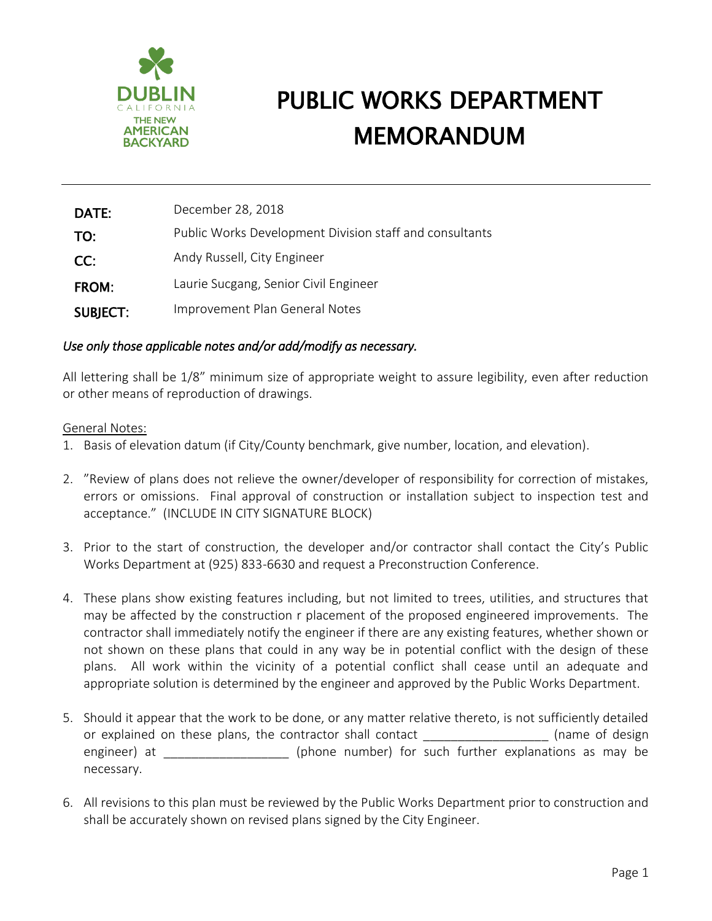

| DATE:           | December 28, 2018                                       |
|-----------------|---------------------------------------------------------|
| TO:             | Public Works Development Division staff and consultants |
| CC:             | Andy Russell, City Engineer                             |
| <b>FROM:</b>    | Laurie Sucgang, Senior Civil Engineer                   |
| <b>SUBJECT:</b> | Improvement Plan General Notes                          |

### *Use only those applicable notes and/or add/modify as necessary.*

All lettering shall be 1/8" minimum size of appropriate weight to assure legibility, even after reduction or other means of reproduction of drawings.

#### General Notes:

- 1. Basis of elevation datum (if City/County benchmark, give number, location, and elevation).
- 2. "Review of plans does not relieve the owner/developer of responsibility for correction of mistakes, errors or omissions. Final approval of construction or installation subject to inspection test and acceptance." (INCLUDE IN CITY SIGNATURE BLOCK)
- 3. Prior to the start of construction, the developer and/or contractor shall contact the City's Public Works Department at (925) 833-6630 and request a Preconstruction Conference.
- 4. These plans show existing features including, but not limited to trees, utilities, and structures that may be affected by the construction r placement of the proposed engineered improvements. The contractor shall immediately notify the engineer if there are any existing features, whether shown or not shown on these plans that could in any way be in potential conflict with the design of these plans. All work within the vicinity of a potential conflict shall cease until an adequate and appropriate solution is determined by the engineer and approved by the Public Works Department.
- 5. Should it appear that the work to be done, or any matter relative thereto, is not sufficiently detailed or explained on these plans, the contractor shall contact and the set of design (name of design engineer) at  $\qquad \qquad$  (phone number) for such further explanations as may be necessary.
- 6. All revisions to this plan must be reviewed by the Public Works Department prior to construction and shall be accurately shown on revised plans signed by the City Engineer.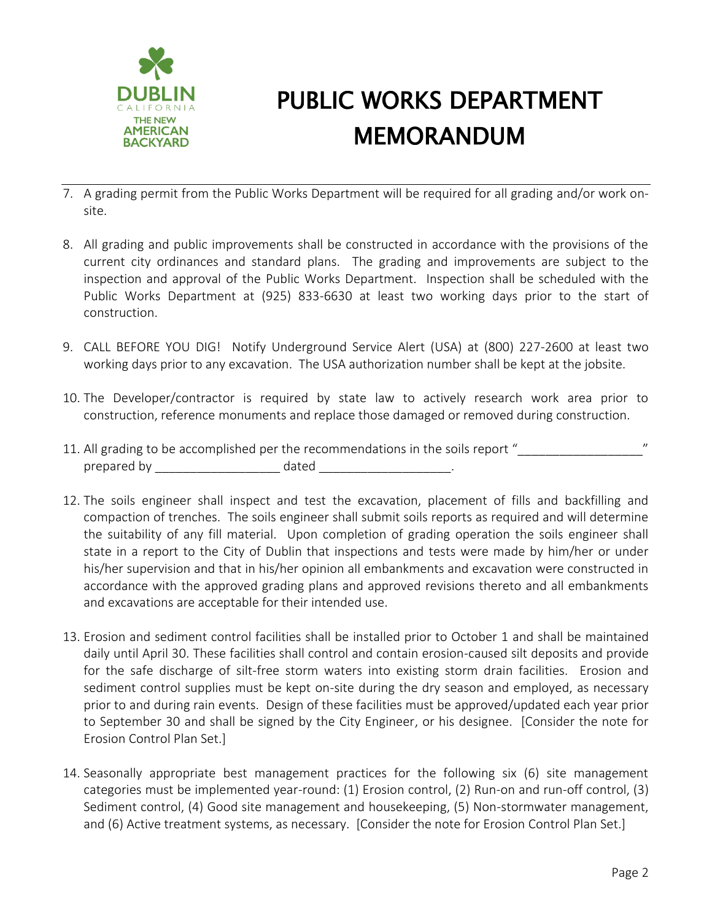

- 7. A grading permit from the Public Works Department will be required for all grading and/or work onsite.
- 8. All grading and public improvements shall be constructed in accordance with the provisions of the current city ordinances and standard plans. The grading and improvements are subject to the inspection and approval of the Public Works Department. Inspection shall be scheduled with the Public Works Department at (925) 833-6630 at least two working days prior to the start of construction.
- 9. CALL BEFORE YOU DIG! Notify Underground Service Alert (USA) at (800) 227-2600 at least two working days prior to any excavation. The USA authorization number shall be kept at the jobsite.
- 10. The Developer/contractor is required by state law to actively research work area prior to construction, reference monuments and replace those damaged or removed during construction.
- 11. All grading to be accomplished per the recommendations in the soils report " prepared by \_\_\_\_\_\_\_\_\_\_\_\_\_\_\_\_\_\_ dated \_\_\_\_\_\_\_\_\_\_\_\_\_\_\_\_\_\_\_.
- 12. The soils engineer shall inspect and test the excavation, placement of fills and backfilling and compaction of trenches. The soils engineer shall submit soils reports as required and will determine the suitability of any fill material. Upon completion of grading operation the soils engineer shall state in a report to the City of Dublin that inspections and tests were made by him/her or under his/her supervision and that in his/her opinion all embankments and excavation were constructed in accordance with the approved grading plans and approved revisions thereto and all embankments and excavations are acceptable for their intended use.
- 13. Erosion and sediment control facilities shall be installed prior to October 1 and shall be maintained daily until April 30. These facilities shall control and contain erosion-caused silt deposits and provide for the safe discharge of silt-free storm waters into existing storm drain facilities. Erosion and sediment control supplies must be kept on-site during the dry season and employed, as necessary prior to and during rain events. Design of these facilities must be approved/updated each year prior to September 30 and shall be signed by the City Engineer, or his designee. [Consider the note for Erosion Control Plan Set.]
- 14. Seasonally appropriate best management practices for the following six (6) site management categories must be implemented year-round: (1) Erosion control, (2) Run-on and run-off control, (3) Sediment control, (4) Good site management and housekeeping, (5) Non-stormwater management, and (6) Active treatment systems, as necessary. [Consider the note for Erosion Control Plan Set.]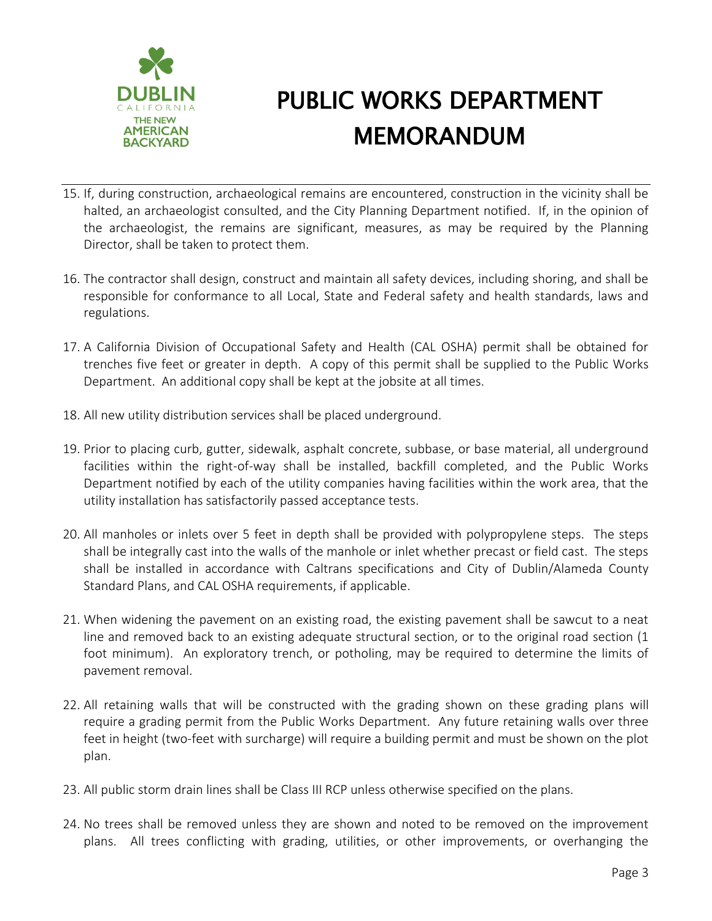

- 15. If, during construction, archaeological remains are encountered, construction in the vicinity shall be halted, an archaeologist consulted, and the City Planning Department notified. If, in the opinion of the archaeologist, the remains are significant, measures, as may be required by the Planning Director, shall be taken to protect them.
- 16. The contractor shall design, construct and maintain all safety devices, including shoring, and shall be responsible for conformance to all Local, State and Federal safety and health standards, laws and regulations.
- 17. A California Division of Occupational Safety and Health (CAL OSHA) permit shall be obtained for trenches five feet or greater in depth. A copy of this permit shall be supplied to the Public Works Department. An additional copy shall be kept at the jobsite at all times.
- 18. All new utility distribution services shall be placed underground.
- 19. Prior to placing curb, gutter, sidewalk, asphalt concrete, subbase, or base material, all underground facilities within the right-of-way shall be installed, backfill completed, and the Public Works Department notified by each of the utility companies having facilities within the work area, that the utility installation has satisfactorily passed acceptance tests.
- 20. All manholes or inlets over 5 feet in depth shall be provided with polypropylene steps. The steps shall be integrally cast into the walls of the manhole or inlet whether precast or field cast. The steps shall be installed in accordance with Caltrans specifications and City of Dublin/Alameda County Standard Plans, and CAL OSHA requirements, if applicable.
- 21. When widening the pavement on an existing road, the existing pavement shall be sawcut to a neat line and removed back to an existing adequate structural section, or to the original road section (1 foot minimum). An exploratory trench, or potholing, may be required to determine the limits of pavement removal.
- 22. All retaining walls that will be constructed with the grading shown on these grading plans will require a grading permit from the Public Works Department. Any future retaining walls over three feet in height (two-feet with surcharge) will require a building permit and must be shown on the plot plan.
- 23. All public storm drain lines shall be Class III RCP unless otherwise specified on the plans.
- 24. No trees shall be removed unless they are shown and noted to be removed on the improvement plans. All trees conflicting with grading, utilities, or other improvements, or overhanging the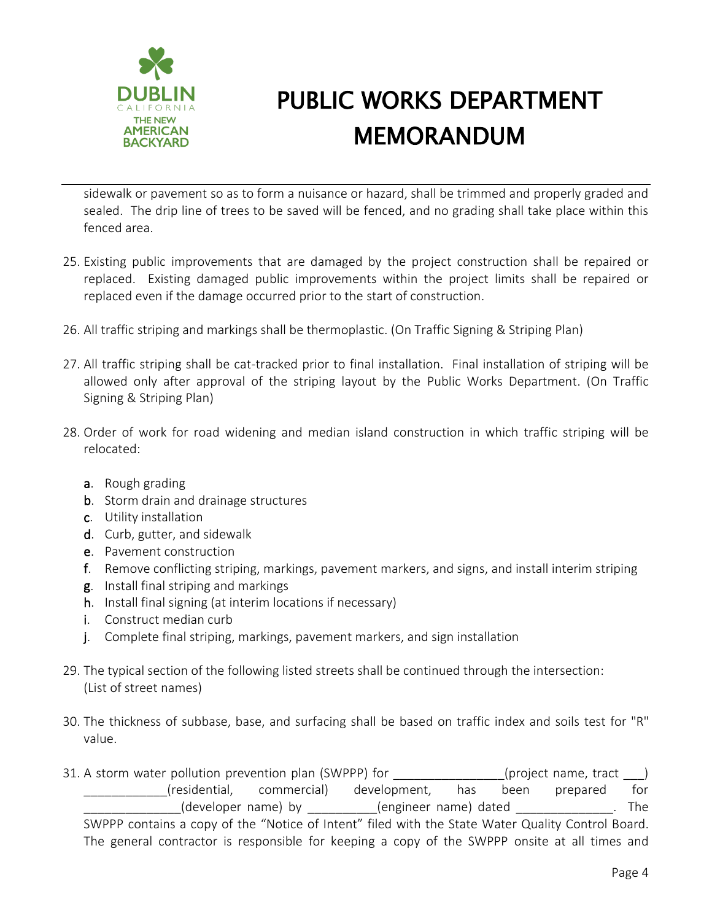

sidewalk or pavement so as to form a nuisance or hazard, shall be trimmed and properly graded and sealed. The drip line of trees to be saved will be fenced, and no grading shall take place within this fenced area.

- 25. Existing public improvements that are damaged by the project construction shall be repaired or replaced. Existing damaged public improvements within the project limits shall be repaired or replaced even if the damage occurred prior to the start of construction.
- 26. All traffic striping and markings shall be thermoplastic. (On Traffic Signing & Striping Plan)
- 27. All traffic striping shall be cat-tracked prior to final installation. Final installation of striping will be allowed only after approval of the striping layout by the Public Works Department. (On Traffic Signing & Striping Plan)
- 28. Order of work for road widening and median island construction in which traffic striping will be relocated:
	- a. Rough grading
	- b. Storm drain and drainage structures
	- c. Utility installation
	- d. Curb, gutter, and sidewalk
	- e. Pavement construction
	- f. Remove conflicting striping, markings, pavement markers, and signs, and install interim striping
	- g. Install final striping and markings
	- h. Install final signing (at interim locations if necessary)
	- i. Construct median curb
	- j. Complete final striping, markings, pavement markers, and sign installation
- 29. The typical section of the following listed streets shall be continued through the intersection: (List of street names)
- 30. The thickness of subbase, base, and surfacing shall be based on traffic index and soils test for "R" value.
- 31. A storm water pollution prevention plan (SWPPP) for  $($ project name, tract  $)$ \_\_\_\_\_\_\_\_\_\_\_\_(residential, commercial) development, has been prepared for (developer name) by \_\_\_\_\_\_\_\_\_(engineer name) dated \_\_\_\_\_\_\_\_\_\_\_\_\_\_\_. The SWPPP contains a copy of the "Notice of Intent" filed with the State Water Quality Control Board. The general contractor is responsible for keeping a copy of the SWPPP onsite at all times and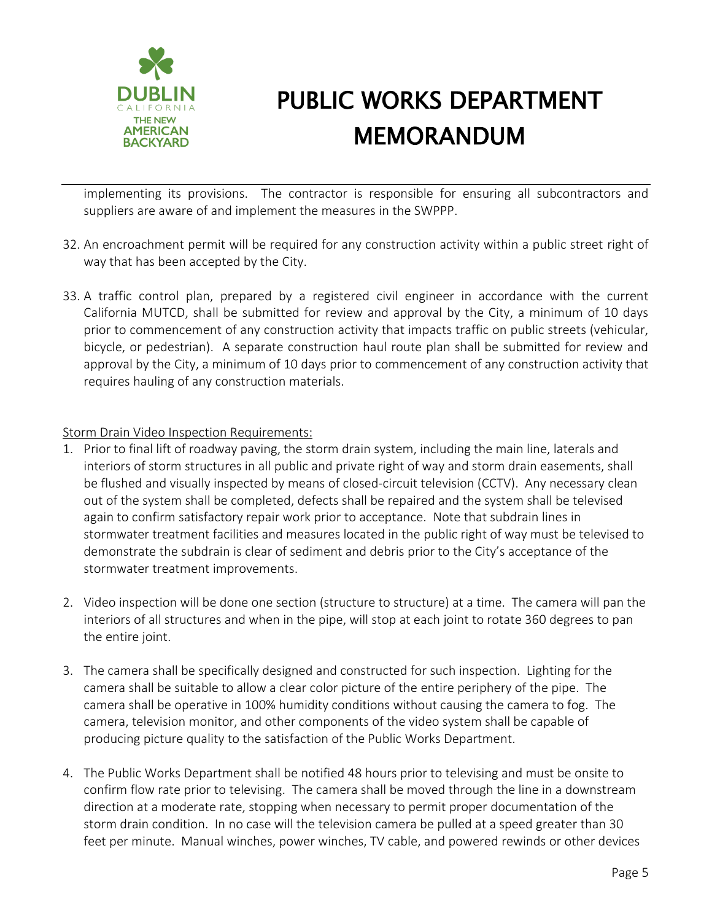

implementing its provisions. The contractor is responsible for ensuring all subcontractors and suppliers are aware of and implement the measures in the SWPPP.

- 32. An encroachment permit will be required for any construction activity within a public street right of way that has been accepted by the City.
- 33. A traffic control plan, prepared by a registered civil engineer in accordance with the current California MUTCD, shall be submitted for review and approval by the City, a minimum of 10 days prior to commencement of any construction activity that impacts traffic on public streets (vehicular, bicycle, or pedestrian). A separate construction haul route plan shall be submitted for review and approval by the City, a minimum of 10 days prior to commencement of any construction activity that requires hauling of any construction materials.

### Storm Drain Video Inspection Requirements:

- 1. Prior to final lift of roadway paving, the storm drain system, including the main line, laterals and interiors of storm structures in all public and private right of way and storm drain easements, shall be flushed and visually inspected by means of closed-circuit television (CCTV). Any necessary clean out of the system shall be completed, defects shall be repaired and the system shall be televised again to confirm satisfactory repair work prior to acceptance. Note that subdrain lines in stormwater treatment facilities and measures located in the public right of way must be televised to demonstrate the subdrain is clear of sediment and debris prior to the City's acceptance of the stormwater treatment improvements.
- 2. Video inspection will be done one section (structure to structure) at a time. The camera will pan the interiors of all structures and when in the pipe, will stop at each joint to rotate 360 degrees to pan the entire joint.
- 3. The camera shall be specifically designed and constructed for such inspection. Lighting for the camera shall be suitable to allow a clear color picture of the entire periphery of the pipe. The camera shall be operative in 100% humidity conditions without causing the camera to fog. The camera, television monitor, and other components of the video system shall be capable of producing picture quality to the satisfaction of the Public Works Department.
- 4. The Public Works Department shall be notified 48 hours prior to televising and must be onsite to confirm flow rate prior to televising. The camera shall be moved through the line in a downstream direction at a moderate rate, stopping when necessary to permit proper documentation of the storm drain condition. In no case will the television camera be pulled at a speed greater than 30 feet per minute. Manual winches, power winches, TV cable, and powered rewinds or other devices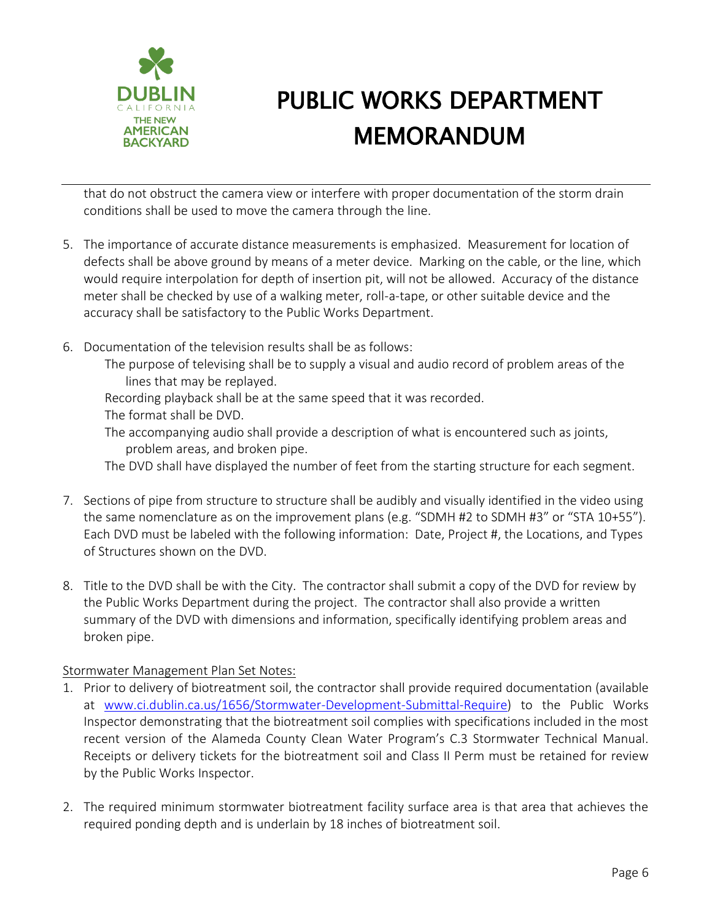

that do not obstruct the camera view or interfere with proper documentation of the storm drain conditions shall be used to move the camera through the line.

- 5. The importance of accurate distance measurements is emphasized. Measurement for location of defects shall be above ground by means of a meter device. Marking on the cable, or the line, which would require interpolation for depth of insertion pit, will not be allowed. Accuracy of the distance meter shall be checked by use of a walking meter, roll-a-tape, or other suitable device and the accuracy shall be satisfactory to the Public Works Department.
- 6. Documentation of the television results shall be as follows:
	- The purpose of televising shall be to supply a visual and audio record of problem areas of the lines that may be replayed.

Recording playback shall be at the same speed that it was recorded.

- The format shall be DVD.
- The accompanying audio shall provide a description of what is encountered such as joints, problem areas, and broken pipe.

The DVD shall have displayed the number of feet from the starting structure for each segment.

- 7. Sections of pipe from structure to structure shall be audibly and visually identified in the video using the same nomenclature as on the improvement plans (e.g. "SDMH #2 to SDMH #3" or "STA 10+55"). Each DVD must be labeled with the following information: Date, Project #, the Locations, and Types of Structures shown on the DVD.
- 8. Title to the DVD shall be with the City. The contractor shall submit a copy of the DVD for review by the Public Works Department during the project. The contractor shall also provide a written summary of the DVD with dimensions and information, specifically identifying problem areas and broken pipe.

### Stormwater Management Plan Set Notes:

- 1. Prior to delivery of biotreatment soil, the contractor shall provide required documentation (available at [www.ci.dublin.ca.us/1656/Stormwater-Development-Submittal-Require\)](http://www.ci.dublin.ca.us/1656/Stormwater-Development-Submittal-Require) to the Public Works Inspector demonstrating that the biotreatment soil complies with specifications included in the most recent version of the Alameda County Clean Water Program's C.3 Stormwater Technical Manual. Receipts or delivery tickets for the biotreatment soil and Class II Perm must be retained for review by the Public Works Inspector.
- 2. The required minimum stormwater biotreatment facility surface area is that area that achieves the required ponding depth and is underlain by 18 inches of biotreatment soil.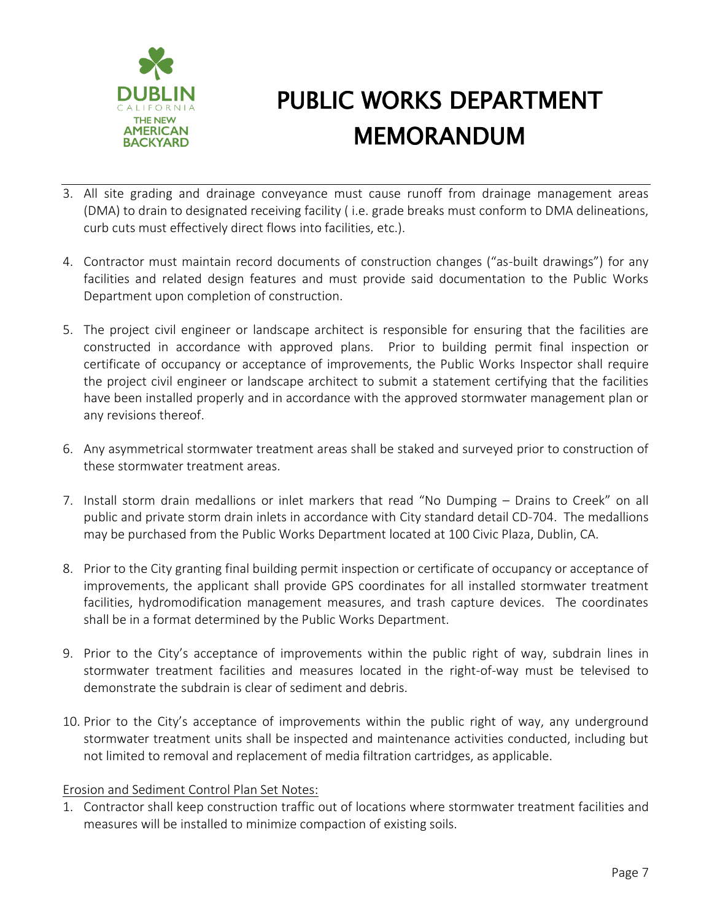

- 3. All site grading and drainage conveyance must cause runoff from drainage management areas (DMA) to drain to designated receiving facility ( i.e. grade breaks must conform to DMA delineations, curb cuts must effectively direct flows into facilities, etc.).
- 4. Contractor must maintain record documents of construction changes ("as-built drawings") for any facilities and related design features and must provide said documentation to the Public Works Department upon completion of construction.
- 5. The project civil engineer or landscape architect is responsible for ensuring that the facilities are constructed in accordance with approved plans. Prior to building permit final inspection or certificate of occupancy or acceptance of improvements, the Public Works Inspector shall require the project civil engineer or landscape architect to submit a statement certifying that the facilities have been installed properly and in accordance with the approved stormwater management plan or any revisions thereof.
- 6. Any asymmetrical stormwater treatment areas shall be staked and surveyed prior to construction of these stormwater treatment areas.
- 7. Install storm drain medallions or inlet markers that read "No Dumping Drains to Creek" on all public and private storm drain inlets in accordance with City standard detail CD-704. The medallions may be purchased from the Public Works Department located at 100 Civic Plaza, Dublin, CA.
- 8. Prior to the City granting final building permit inspection or certificate of occupancy or acceptance of improvements, the applicant shall provide GPS coordinates for all installed stormwater treatment facilities, hydromodification management measures, and trash capture devices. The coordinates shall be in a format determined by the Public Works Department.
- 9. Prior to the City's acceptance of improvements within the public right of way, subdrain lines in stormwater treatment facilities and measures located in the right-of-way must be televised to demonstrate the subdrain is clear of sediment and debris.
- 10. Prior to the City's acceptance of improvements within the public right of way, any underground stormwater treatment units shall be inspected and maintenance activities conducted, including but not limited to removal and replacement of media filtration cartridges, as applicable.

### Erosion and Sediment Control Plan Set Notes:

1. Contractor shall keep construction traffic out of locations where stormwater treatment facilities and measures will be installed to minimize compaction of existing soils.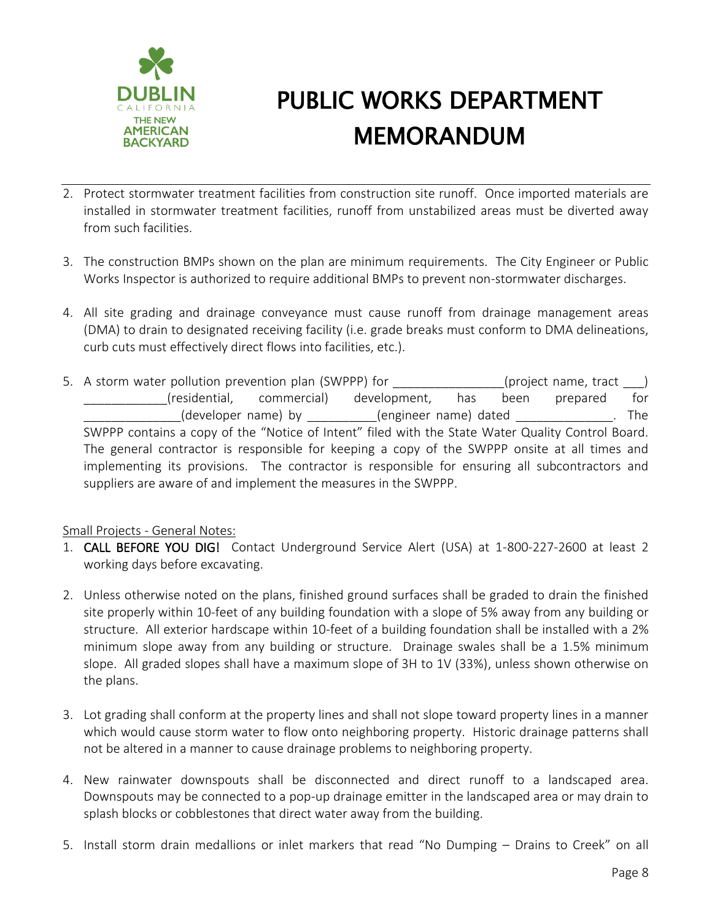

- 2. Protect stormwater treatment facilities from construction site runoff. Once imported materials are installed in stormwater treatment facilities, runoff from unstabilized areas must be diverted away from such facilities.
- 3. The construction BMPs shown on the plan are minimum requirements. The City Engineer or Public Works Inspector is authorized to require additional BMPs to prevent non-stormwater discharges.
- 4. All site grading and drainage conveyance must cause runoff from drainage management areas (DMA) to drain to designated receiving facility (i.e. grade breaks must conform to DMA delineations, curb cuts must effectively direct flows into facilities, etc.).
- 5. A storm water pollution prevention plan (SWPPP) for  $($ project name, tract  $)$ \_\_\_\_\_\_\_\_\_\_\_\_(residential, commercial) development, has been prepared for (developer name) by dengineer name) dated and the state of the state of the state of the state of the state of the state of the state of the state of the state of the state of the state of the state of the state of the sta SWPPP contains a copy of the "Notice of Intent" filed with the State Water Quality Control Board. The general contractor is responsible for keeping a copy of the SWPPP onsite at all times and implementing its provisions. The contractor is responsible for ensuring all subcontractors and suppliers are aware of and implement the measures in the SWPPP.

### Small Projects - General Notes:

- 1. CALL BEFORE YOU DIG! Contact Underground Service Alert (USA) at 1-800-227-2600 at least 2 working days before excavating.
- 2. Unless otherwise noted on the plans, finished ground surfaces shall be graded to drain the finished site properly within 10-feet of any building foundation with a slope of 5% away from any building or structure. All exterior hardscape within 10-feet of a building foundation shall be installed with a 2% minimum slope away from any building or structure. Drainage swales shall be a 1.5% minimum slope. All graded slopes shall have a maximum slope of 3H to 1V (33%), unless shown otherwise on the plans.
- 3. Lot grading shall conform at the property lines and shall not slope toward property lines in a manner which would cause storm water to flow onto neighboring property. Historic drainage patterns shall not be altered in a manner to cause drainage problems to neighboring property.
- 4. New rainwater downspouts shall be disconnected and direct runoff to a landscaped area. Downspouts may be connected to a pop-up drainage emitter in the landscaped area or may drain to splash blocks or cobblestones that direct water away from the building.
- 5. Install storm drain medallions or inlet markers that read "No Dumping Drains to Creek" on all